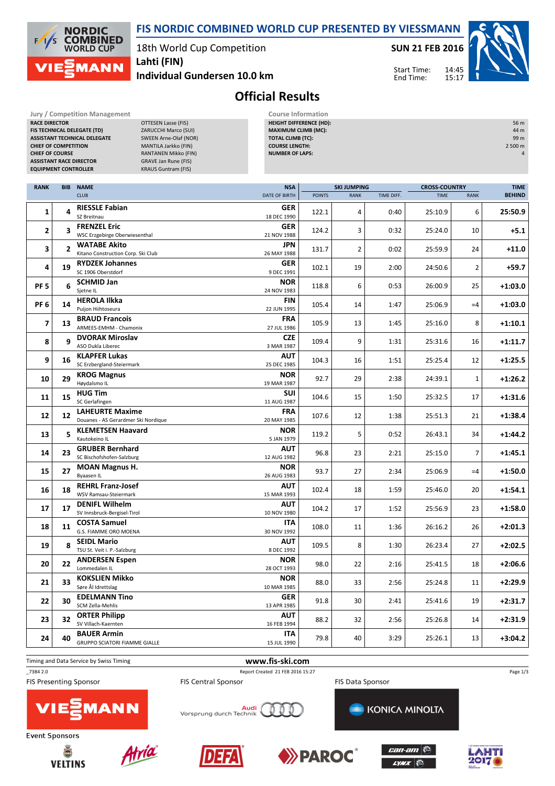18th World Cup Competition **Lahti (FIN)**

**Jury / Competition Management Course Information**<br>**RACE DIRECTOR COURSE AGE OF THE COURSE AGES COURSE AGES COURSE AGES COURSE AGES COURSE AGES COURSE AGES COURSE AGES COURSE AGES COURSE AGES COURS DTTESEN Lasse (FIS)** 

**FIS TECHNICAL DELEGATE (TD)** ZARUCCHI Marco (SUI) **ASSISTANT TECHNICAL DELEGATE** SWEEN Arne-Olaf (NOR) **CHIEF OF COMPETITION** MANTILA Jarkko (FIN)

**1ANN** 

**NORDIC COMBINED**<br>WORLD CUP

 $\sqrt{1}$ ľς

**Individual Gundersen 10.0 km**

**SUN 21 FEB 2016**

 $14.45$ 15:17 Start Time: End Time:

**HEIGHT DIFFERENCE (HD):** 56 m **MAXIMUM CLIMB (MC):** 44 m<br>**TOTAL CLIMB (TC):** 49 m

**COURSE LENGTH:** 2 500 m



## **Official Results**

**TOTAL CLIMB (TC):** 

**FIS NORDIC COMBINED WORLD CUP PRESENTED BY VIESSMANN**

|                             | <b>CHIEF OF COURSE</b><br>RANTANEN Mikko (FIN)<br><b>NUMBER OF LAPS:</b><br><b>GRAVE Jan Rune (FIS)</b><br><b>ASSISTANT RACE DIRECTOR</b> |                                                               |                           |                                            |    |      | 4           |                      |           |  |
|-----------------------------|-------------------------------------------------------------------------------------------------------------------------------------------|---------------------------------------------------------------|---------------------------|--------------------------------------------|----|------|-------------|----------------------|-----------|--|
| <b>EQUIPMENT CONTROLLER</b> |                                                                                                                                           | <b>KRAUS Guntram (FIS)</b>                                    |                           |                                            |    |      |             |                      |           |  |
| <b>RANK</b>                 | <b>BIB</b>                                                                                                                                | <b>NAME</b>                                                   | <b>NSA</b>                | <b>SKI JUMPING</b>                         |    |      |             | <b>CROSS-COUNTRY</b> |           |  |
|                             |                                                                                                                                           | <b>CLUB</b>                                                   | DATE OF BIRTH             | <b>POINTS</b><br>TIME DIFF.<br><b>RANK</b> |    |      | <b>TIME</b> | <b>BEHIND</b>        |           |  |
| 1                           | 4                                                                                                                                         | <b>RIESSLE Fabian</b><br>SZ Breitnau                          | GER<br>18 DEC 1990        | 122.1                                      | 4  | 0:40 | 25:10.9     | 6                    | 25:50.9   |  |
| 2                           | $\overline{\mathbf{3}}$                                                                                                                   | <b>FRENZEL Eric</b><br>WSC Erzgebirge Oberwiesenthal          | <b>GER</b><br>21 NOV 1988 | 124.2                                      | 3  | 0:32 | 25:24.0     | 10                   | +5.1      |  |
| 3                           | $\overline{2}$                                                                                                                            | <b>WATABE Akito</b><br>Kitano Construction Corp. Ski Club     | JPN<br>26 MAY 1988        | 131.7                                      | 2  | 0:02 | 25:59.9     | 24                   | $+11.0$   |  |
| 4                           | 19                                                                                                                                        | <b>RYDZEK Johannes</b><br>SC 1906 Oberstdorf                  | <b>GER</b><br>9 DEC 1991  | 102.1                                      | 19 | 2:00 | 24:50.6     | 2                    | $+59.7$   |  |
| PF <sub>5</sub>             | 6                                                                                                                                         | <b>SCHMID Jan</b><br>Sjetne IL                                | <b>NOR</b><br>24 NOV 1983 | 118.8                                      | 6  | 0:53 | 26:00.9     | 25                   | $+1:03.0$ |  |
| PF <sub>6</sub>             | 14                                                                                                                                        | <b>HEROLA Ilkka</b><br>Puijon Hiihtoseura                     | FIN<br>22 JUN 1995        | 105.4                                      | 14 | 1:47 | 25:06.9     | $=4$                 | $+1:03.0$ |  |
| 7                           | 13                                                                                                                                        | <b>BRAUD Francois</b><br>ARMEES-EMHM - Chamonix               | <b>FRA</b><br>27 JUL 1986 | 105.9                                      | 13 | 1:45 | 25:16.0     | 8                    | $+1:10.1$ |  |
| 8                           | 9                                                                                                                                         | <b>DVORAK Miroslav</b><br>ASO Dukla Liberec                   | <b>CZE</b><br>3 MAR 1987  | 109.4                                      | 9  | 1:31 | 25:31.6     | 16                   | $+1:11.7$ |  |
| 9                           | 16                                                                                                                                        | <b>KLAPFER Lukas</b><br>SC Erzbergland-Steiermark             | AUT<br>25 DEC 1985        | 104.3                                      | 16 | 1:51 | 25:25.4     | 12                   | $+1:25.5$ |  |
| 10                          | 29                                                                                                                                        | <b>KROG Magnus</b><br>Høydalsmo IL                            | <b>NOR</b><br>19 MAR 1987 | 92.7                                       | 29 | 2:38 | 24:39.1     | 1                    | $+1:26.2$ |  |
| 11                          | 15                                                                                                                                        | <b>HUG Tim</b><br>SC Gerlafingen                              | SUI<br>11 AUG 1987        | 104.6                                      | 15 | 1:50 | 25:32.5     | 17                   | $+1:31.6$ |  |
| 12                          | 12                                                                                                                                        | <b>LAHEURTE Maxime</b><br>Douanes - AS Gerardmer Ski Nordique | <b>FRA</b><br>20 MAY 1985 | 107.6                                      | 12 | 1:38 | 25:51.3     | 21                   | $+1:38.4$ |  |
| 13                          | 5                                                                                                                                         | <b>KLEMETSEN Haavard</b><br>Kautokeino IL                     | <b>NOR</b><br>5 JAN 1979  | 119.2                                      | 5  | 0:52 | 26:43.1     | 34                   | $+1:44.2$ |  |
| 14                          | 23                                                                                                                                        | <b>GRUBER Bernhard</b><br>SC Bischofshofen-Salzburg           | AUT<br>12 AUG 1982        | 96.8                                       | 23 | 2:21 | 25:15.0     | 7                    | $+1:45.1$ |  |
| 15                          | 27                                                                                                                                        | <b>MOAN Magnus H.</b><br>Byaasen IL                           | <b>NOR</b><br>26 AUG 1983 | 93.7                                       | 27 | 2:34 | 25:06.9     | $=4$                 | $+1:50.0$ |  |
| 16                          | 18                                                                                                                                        | <b>REHRL Franz-Josef</b><br>WSV Ramsau-Steiermark             | AUT<br>15 MAR 1993        | 102.4                                      | 18 | 1:59 | 25:46.0     | 20                   | $+1:54.1$ |  |
| 17                          | 17                                                                                                                                        | <b>DENIFL Wilhelm</b><br>SV Innsbruck-Bergisel-Tirol          | <b>AUT</b><br>10 NOV 1980 | 104.2                                      | 17 | 1:52 | 25:56.9     | 23                   | $+1:58.0$ |  |
| 18                          | 11                                                                                                                                        | <b>COSTA Samuel</b><br>G.S. FIAMME ORO MOENA                  | <b>ITA</b><br>30 NOV 1992 | 108.0                                      | 11 | 1:36 | 26:16.2     | 26                   | $+2:01.3$ |  |
| 19                          | 8                                                                                                                                         | <b>SEIDL Mario</b><br>TSU St. Veit i. P.-Salzburg             | <b>AUT</b><br>8 DEC 1992  | 109.5                                      | 8  | 1:30 | 26:23.4     | 27                   | $+2:02.5$ |  |
| 20                          | 22                                                                                                                                        | <b>ANDERSEN Espen</b><br>Lommedalen IL                        | <b>NOR</b><br>28 OCT 1993 | 98.0                                       | 22 | 2:16 | 25:41.5     | 18                   | $+2:06.6$ |  |
| 21                          | 33                                                                                                                                        | <b>KOKSLIEN Mikko</b><br>Søre Ål Idrettslag                   | <b>NOR</b><br>10 MAR 1985 | 88.0                                       | 33 | 2:56 | 25:24.8     | 11                   | $+2:29.9$ |  |
| 22                          | 30                                                                                                                                        | <b>EDELMANN Tino</b><br>SCM Zella-Mehlis                      | <b>GER</b><br>13 APR 1985 | 91.8                                       | 30 | 2:41 | 25:41.6     | 19                   | $+2:31.7$ |  |
| 23                          | 32                                                                                                                                        | <b>ORTER Philipp</b><br>SV Villach-Kaernten                   | <b>AUT</b><br>16 FEB 1994 | 88.2                                       | 32 | 2:56 | 25:26.8     | 14                   | $+2:31.9$ |  |
| 24                          | 40                                                                                                                                        | <b>BAUER Armin</b><br><b>GRUPPO SCIATORI FIAMME GIALLE</b>    | ITA<br>15 JUL 1990        | 79.8                                       | 40 | 3:29 | 25:26.1     | 13                   | $+3:04.2$ |  |

**FIS Presenting Sponsor** 

## Timing and Data Service by Swiss Timing **www.fis-ski.com**

**FIS Central Sponsor** 

Page 1/3



**Event Sponsors** 







<mark>Audi</mark><br>Vorsprung durch Technik





**KONICA MINOLTA** 



\_73B4 2.0 Report Created 21 FEB 2016 15:27

**FIS Data Sponsor**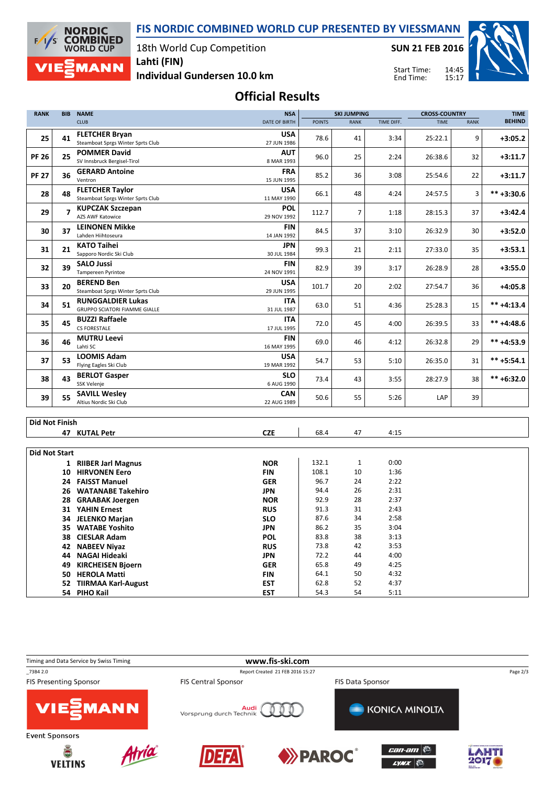**FIS NORDIC COMBINED WORLD CUP PRESENTED BY VIESSMANN**



18th World Cup Competition **Lahti (FIN)**

**SUN 21 FEB 2016**

Start Time: End Time:



**Individual Gundersen 10.0 km**

**Official Results**

| <b>RANK</b>           | <b>BIB</b>     | <b>NAME</b>                                                 | <b>NSA</b>                | <b>SKI JUMPING</b> |                |              | <b>CROSS-COUNTRY</b> |             | <b>TIME</b>    |
|-----------------------|----------------|-------------------------------------------------------------|---------------------------|--------------------|----------------|--------------|----------------------|-------------|----------------|
|                       |                | <b>CLUB</b>                                                 | DATE OF BIRTH             | <b>POINTS</b>      | <b>RANK</b>    | TIME DIFF.   | <b>TIME</b>          | <b>RANK</b> | <b>BEHIND</b>  |
| 25                    | 41             | <b>FLETCHER Bryan</b><br>Steamboat Sprgs Winter Sprts Club  | <b>USA</b><br>27 JUN 1986 | 78.6               | 41             | 3:34         | 25:22.1              | 9           | $+3:05.2$      |
| <b>PF 26</b>          | 25             | <b>POMMER David</b><br>SV Innsbruck Bergisel-Tirol          | AUT<br>8 MAR 1993         | 96.0               | 25             | 2:24         | 26:38.6              | 32          | $+3:11.7$      |
| <b>PF 27</b>          | 36             | <b>GERARD Antoine</b><br>Ventron                            | <b>FRA</b><br>15 JUN 1995 | 85.2               | 36             | 3:08         | 25:54.6              | 22          | $+3:11.7$      |
| 28                    | 48             | <b>FLETCHER Taylor</b><br>Steamboat Sprgs Winter Sprts Club | <b>USA</b><br>11 MAY 1990 | 66.1               | 48             | 4:24         | 24:57.5              | 3           | $*** +3:30.6$  |
| 29                    | $\overline{z}$ | <b>KUPCZAK Szczepan</b><br>AZS AWF Katowice                 | <b>POL</b><br>29 NOV 1992 | 112.7              | $\overline{7}$ | 1:18         | 28:15.3              | 37          | $+3:42.4$      |
| 30                    | 37             | <b>LEINONEN Mikke</b><br>Lahden Hiihtoseura                 | <b>FIN</b><br>14 JAN 1992 | 84.5               | 37             | 3:10         | 26:32.9              | 30          | $+3:52.0$      |
| 31                    | 21             | <b>KATO Taihei</b><br>Sapporo Nordic Ski Club               | <b>JPN</b><br>30 JUL 1984 | 99.3               | 21             | 2:11         | 27:33.0              | 35          | $+3:53.1$      |
| 32                    | 39             | <b>SALO Jussi</b><br>Tampereen Pyrintoe                     | <b>FIN</b><br>24 NOV 1991 | 82.9               | 39             | 3:17         | 26:28.9              | 28          | $+3:55.0$      |
| 33                    | 20             | <b>BEREND Ben</b><br>Steamboat Sprgs Winter Sprts Club      | <b>USA</b><br>29 JUN 1995 | 101.7              | 20             | 2:02         | 27:54.7              | 36          | $+4:05.8$      |
| 34                    | 51             | <b>RUNGGALDIER Lukas</b><br>GRUPPO SCIATORI FIAMME GIALLE   | <b>ITA</b><br>31 JUL 1987 | 63.0               | 51             | 4:36         | 25:28.3              | 15          | $*** +4:13.4$  |
| 35                    | 45             | <b>BUZZI Raffaele</b><br><b>CS FORESTALE</b>                | <b>ITA</b><br>17 JUL 1995 | 72.0               | 45             | 4:00         | 26:39.5              | 33          | $*** +4:48.6$  |
| 36                    | 46             | <b>MUTRU Leevi</b><br>Lahti SC                              | <b>FIN</b><br>16 MAY 1995 | 69.0               | 46             | 4:12         | 26:32.8              | 29          | $*** +4:53.9$  |
| 37                    | 53             | <b>LOOMIS Adam</b><br>Flying Eagles Ski Club                | <b>USA</b><br>19 MAR 1992 | 54.7               | 53             | 5:10         | 26:35.0              | 31          | $*** + 5:54.1$ |
| 38                    | 43             | <b>BERLOT Gasper</b><br>SSK Velenje                         | <b>SLO</b><br>6 AUG 1990  | 73.4               | 43             | 3:55         | 28:27.9              | 38          | $*** + 6:32.0$ |
| 39                    | 55             | <b>SAVILL Wesley</b><br>Altius Nordic Ski Club              | CAN<br>22 AUG 1989        | 50.6               | 55             | 5:26         | LAP                  | 39          |                |
|                       |                |                                                             |                           |                    |                |              |                      |             |                |
| <b>Did Not Finish</b> |                |                                                             |                           |                    |                |              |                      |             |                |
|                       |                | 47 KUTAL Petr                                               | <b>CZE</b>                | 68.4               | 47             | 4:15         |                      |             |                |
| <b>Did Not Start</b>  |                |                                                             |                           |                    |                |              |                      |             |                |
|                       |                | 1 RIIBER Jarl Magnus                                        | <b>NOR</b>                | 132.1              | $\mathbf{1}$   | 0:00         |                      |             |                |
|                       |                | 10 HIRVONEN Eero                                            | <b>FIN</b>                | 108.1              | 10             | 1:36         |                      |             |                |
|                       |                | 24 FAISST Manuel                                            | <b>GER</b>                | 96.7               | 24             | 2:22         |                      |             |                |
|                       | 26             | <b>WATANABE Takehiro</b>                                    | <b>JPN</b>                | 94.4               | 26             | 2:31         |                      |             |                |
|                       |                | 28 GRAABAK Joergen                                          | <b>NOR</b>                | 92.9               | 28             | 2:37         |                      |             |                |
|                       |                | 31 YAHIN Ernest                                             | <b>RUS</b>                | 91.3               | 31             | 2:43         |                      |             |                |
|                       |                | 34 JELENKO Marjan                                           | <b>SLO</b>                | 87.6               | 34             | 2:58         |                      |             |                |
|                       | 35             | <b>WATABE Yoshito</b>                                       | <b>JPN</b>                | 86.2               | 35             | 3:04         |                      |             |                |
|                       |                | 38 CIESLAR Adam                                             | <b>POL</b>                | 83.8               | 38             | 3:13         |                      |             |                |
|                       | 42             | <b>NABEEV Niyaz</b>                                         | <b>RUS</b>                | 73.8               | 42             | 3:53         |                      |             |                |
|                       | 44             | NAGAI Hideaki                                               | <b>JPN</b>                | 72.2<br>65.8       | 44<br>49       | 4:00<br>4:25 |                      |             |                |
|                       | 49             | <b>KIRCHEISEN Bjoern</b><br>50 HEROLA Matti                 | <b>GER</b><br><b>FIN</b>  | 64.1               | 50             | 4:32         |                      |             |                |



**52 TIIRMAA Karl-August EST** 62.8 52 4:37

**54 PIHO Kail EST**